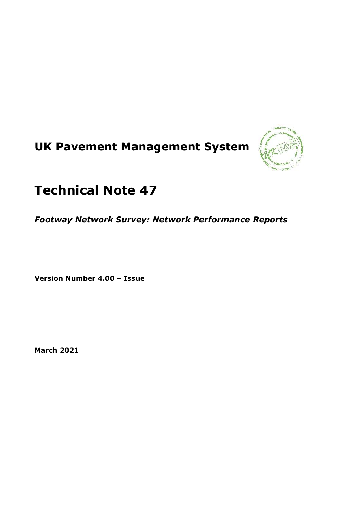# **UK Pavement Management System**



## **Technical Note 47**

*Footway Network Survey: Network Performance Reports*

**Version Number 4.00 – Issue**

**March 2021**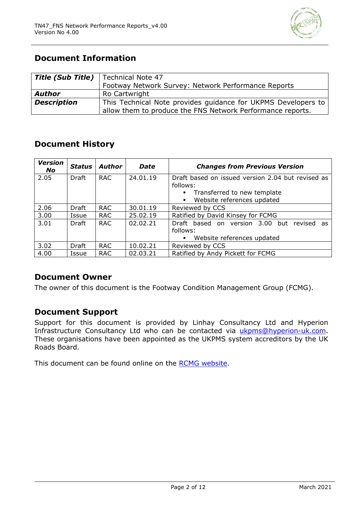

## **Document Information**

| <b>Title (Sub Title)</b>   Technical Note 47 |                                                               |  |  |
|----------------------------------------------|---------------------------------------------------------------|--|--|
|                                              | Footway Network Survey: Network Performance Reports           |  |  |
| <b>Author</b>                                | Ro Cartwright                                                 |  |  |
| <b>Description</b>                           | This Technical Note provides guidance for UKPMS Developers to |  |  |
|                                              | allow them to produce the FNS Network Performance reports.    |  |  |

## **Document History**

| <b>Version</b><br><b>No</b> | Status | Author     | <b>Date</b> | <b>Changes from Previous Version</b>                                                      |  |
|-----------------------------|--------|------------|-------------|-------------------------------------------------------------------------------------------|--|
| 2.05                        | Draft  | <b>RAC</b> | 24.01.19    | Draft based on issued version 2.04 but revised as                                         |  |
|                             |        |            |             | follows:<br>• Transferred to new template<br>Website references updated<br>$\blacksquare$ |  |
| 2.06                        | Draft  | <b>RAC</b> | 30.01.19    | Reviewed by CCS                                                                           |  |
| 3.00                        | Issue  | <b>RAC</b> | 25.02.19    | Ratified by David Kinsey for FCMG                                                         |  |
| 3.01                        | Draft  | <b>RAC</b> | 02.02.21    | Draft based on version 3.00 but revised<br>as<br>follows:                                 |  |
|                             |        |            |             | Website references updated<br>$\blacksquare$                                              |  |
| 3.02                        | Draft  | <b>RAC</b> | 10.02.21    | Reviewed by CCS                                                                           |  |
| 4.00                        | Issue  | <b>RAC</b> | 02.03.21    | Ratified by Andy Pickett for FCMG                                                         |  |

## **Document Owner**

The owner of this document is the Footway Condition Management Group (FCMG).

## **Document Support**

Support for this document is provided by Linhay Consultancy Ltd and Hyperion Infrastructure Consultancy Ltd who can be contacted via [ukpms@hyperion-uk.com.](mailto:ukpms@hyperion-uk.com) These organisations have been appointed as the UKPMS system accreditors by the UK Roads Board.

This document can be found online on the [RCMG website.](https://www.ciht.org.uk/ukrlg-home/guidance/road-condition-information/data-management/uk-pavement-management-system-ukpms/)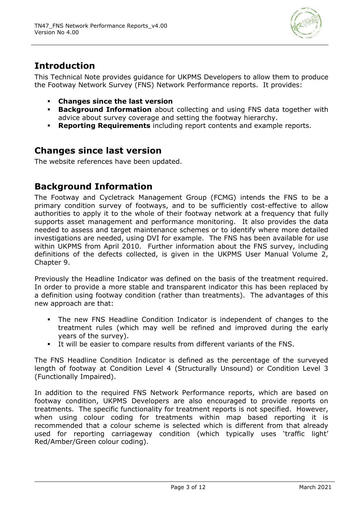

## **Introduction**

This Technical Note provides guidance for UKPMS Developers to allow them to produce the Footway Network Survey (FNS) Network Performance reports. It provides:

- **Changes since the last version**
- **Background Information** about collecting and using FNS data together with advice about survey coverage and setting the footway hierarchy.
- **Reporting Requirements** including report contents and example reports.

## **Changes since last version**

The website references have been updated.

## **Background Information**

The Footway and Cycletrack Management Group (FCMG) intends the FNS to be a primary condition survey of footways, and to be sufficiently cost-effective to allow authorities to apply it to the whole of their footway network at a frequency that fully supports asset management and performance monitoring. It also provides the data needed to assess and target maintenance schemes or to identify where more detailed investigations are needed, using DVI for example. The FNS has been available for use within UKPMS from April 2010. Further information about the FNS survey, including definitions of the defects collected, is given in the UKPMS User Manual Volume 2, Chapter 9.

Previously the Headline Indicator was defined on the basis of the treatment required. In order to provide a more stable and transparent indicator this has been replaced by a definition using footway condition (rather than treatments). The advantages of this new approach are that:

- The new FNS Headline Condition Indicator is independent of changes to the treatment rules (which may well be refined and improved during the early years of the survey).
- It will be easier to compare results from different variants of the FNS.

The FNS Headline Condition Indicator is defined as the percentage of the surveyed length of footway at Condition Level 4 (Structurally Unsound) or Condition Level 3 (Functionally Impaired).

In addition to the required FNS Network Performance reports, which are based on footway condition, UKPMS Developers are also encouraged to provide reports on treatments. The specific functionality for treatment reports is not specified. However, when using colour coding for treatments within map based reporting it is recommended that a colour scheme is selected which is different from that already used for reporting carriageway condition (which typically uses 'traffic light' Red/Amber/Green colour coding).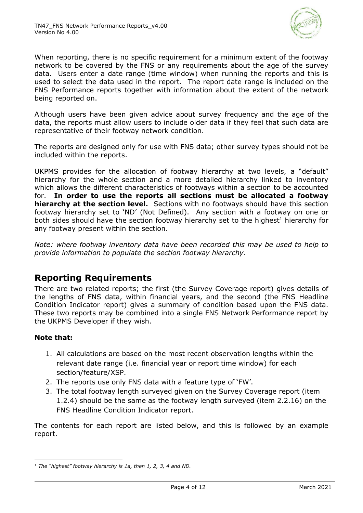

When reporting, there is no specific requirement for a minimum extent of the footway network to be covered by the FNS or any requirements about the age of the survey data. Users enter a date range (time window) when running the reports and this is used to select the data used in the report. The report date range is included on the FNS Performance reports together with information about the extent of the network being reported on.

Although users have been given advice about survey frequency and the age of the data, the reports must allow users to include older data if they feel that such data are representative of their footway network condition.

The reports are designed only for use with FNS data; other survey types should not be included within the reports.

UKPMS provides for the allocation of footway hierarchy at two levels, a "default" hierarchy for the whole section and a more detailed hierarchy linked to inventory which allows the different characteristics of footways within a section to be accounted for. **In order to use the reports all sections must be allocated a footway hierarchy at the section level.** Sections with no footways should have this section footway hierarchy set to 'ND' (Not Defined). Any section with a footway on one or both sides should have the section footway hierarchy set to the highest<sup>1</sup> hierarchy for any footway present within the section.

*Note: where footway inventory data have been recorded this may be used to help to provide information to populate the section footway hierarchy.*

## **Reporting Requirements**

There are two related reports; the first (the Survey Coverage report) gives details of the lengths of FNS data, within financial years, and the second (the FNS Headline Condition Indicator report) gives a summary of condition based upon the FNS data. These two reports may be combined into a single FNS Network Performance report by the UKPMS Developer if they wish.

#### **Note that:**

- 1. All calculations are based on the most recent observation lengths within the relevant date range (i.e. financial year or report time window) for each section/feature/XSP.
- 2. The reports use only FNS data with a feature type of 'FW'.
- 3. The total footway length surveyed given on the Survey Coverage report (item 1.2.4) should be the same as the footway length surveyed (item 2.2.16) on the FNS Headline Condition Indicator report.

The contents for each report are listed below, and this is followed by an example report.

<sup>1</sup> *The "highest" footway hierarchy is 1a, then 1, 2, 3, 4 and ND.*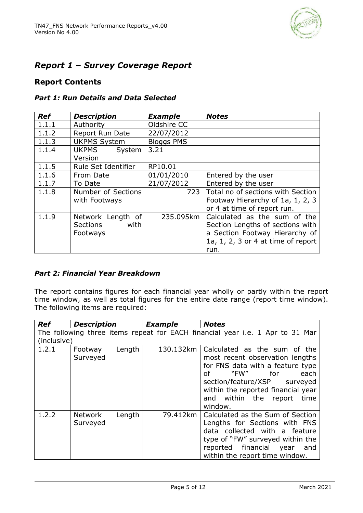

## *Report 1 – Survey Coverage Report*

#### **Report Contents**

#### *Part 1: Run Details and Data Selected*

| <b>Ref</b> | <b>Description</b>                                | <b>Example</b>    | <b>Notes</b>                                                                                                                                     |
|------------|---------------------------------------------------|-------------------|--------------------------------------------------------------------------------------------------------------------------------------------------|
| 1.1.1      | Authority                                         | Oldshire CC       |                                                                                                                                                  |
| 1.1.2      | <b>Report Run Date</b>                            | 22/07/2012        |                                                                                                                                                  |
| 1.1.3      | <b>UKPMS System</b>                               | <b>Bloggs PMS</b> |                                                                                                                                                  |
| 1.1.4      | <b>UKPMS</b><br>System  <br>Version               | 3.21              |                                                                                                                                                  |
| 1.1.5      | Rule Set Identifier                               | RP10.01           |                                                                                                                                                  |
| 1.1.6      | From Date                                         | 01/01/2010        | Entered by the user                                                                                                                              |
| 1.1.7      | To Date                                           | 21/07/2012        | Entered by the user                                                                                                                              |
| 1.1.8      | Number of Sections<br>with Footways               | 723               | Total no of sections with Section<br>Footway Hierarchy of 1a, 1, 2, 3<br>or 4 at time of report run.                                             |
| 1.1.9      | Network Length of<br>with<br>Sections<br>Footways | 235.095km         | Calculated as the sum of the<br>Section Lengths of sections with<br>a Section Footway Hierarchy of<br>1a, 1, 2, 3 or 4 at time of report<br>run. |

#### *Part 2: Financial Year Breakdown*

The report contains figures for each financial year wholly or partly within the report time window, as well as total figures for the entire date range (report time window). The following items are required:

| <b>Ref</b>  | Description                   | <b>Example</b> | <b>Notes</b>                                                                                                                                                                                                                                    |
|-------------|-------------------------------|----------------|-------------------------------------------------------------------------------------------------------------------------------------------------------------------------------------------------------------------------------------------------|
|             |                               |                | The following three items repeat for EACH financial year i.e. 1 Apr to 31 Mar                                                                                                                                                                   |
| (inclusive) |                               |                |                                                                                                                                                                                                                                                 |
| 1.2.1       | Length<br>Footway<br>Surveyed | 130.132km      | Calculated as the sum of the<br>most recent observation lengths<br>for FNS data with a feature type<br>each<br>"FW" for<br>Ωf<br>section/feature/XSP surveyed<br>within the reported financial year<br>and within the report<br>time<br>window. |
| 1.2.2       | Length<br>Network<br>Surveyed | 79.412km       | Calculated as the Sum of Section<br>Lengths for Sections with FNS<br>data collected with a feature<br>type of "FW" surveyed within the<br>reported financial year and<br>within the report time window.                                         |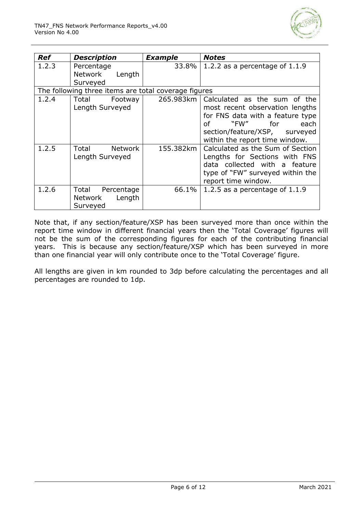

| <b>Ref</b> | <b>Description</b>                                   | <b>Example</b> | <b>Notes</b>                                                                                                                                                                                       |
|------------|------------------------------------------------------|----------------|----------------------------------------------------------------------------------------------------------------------------------------------------------------------------------------------------|
| 1.2.3      | Percentage<br>Network<br>Length<br>Surveyed          | 33.8%          | 1.2.2 as a percentage of $1.1.9$                                                                                                                                                                   |
|            | The following three items are total coverage figures |                |                                                                                                                                                                                                    |
| 1.2.4      | Total<br>Footway<br>Length Surveyed                  | 265.983km      | Calculated as the sum of the<br>most recent observation lengths<br>for FNS data with a feature type<br>"FW"   for<br>each<br>Ωf<br>section/feature/XSP, surveyed<br>within the report time window. |
| 1.2.5      | Total<br><b>Network</b><br>Length Surveyed           | 155.382km      | Calculated as the Sum of Section<br>Lengths for Sections with FNS<br>data collected with a feature<br>type of "FW" surveyed within the<br>report time window.                                      |
| 1.2.6      | Total Percentage<br>Length<br>Network<br>Surveyed    | 66.1%          | 1.2.5 as a percentage of $1.1.9$                                                                                                                                                                   |

Note that, if any section/feature/XSP has been surveyed more than once within the report time window in different financial years then the 'Total Coverage' figures will not be the sum of the corresponding figures for each of the contributing financial years. This is because any section/feature/XSP which has been surveyed in more than one financial year will only contribute once to the 'Total Coverage' figure.

All lengths are given in km rounded to 3dp before calculating the percentages and all percentages are rounded to 1dp.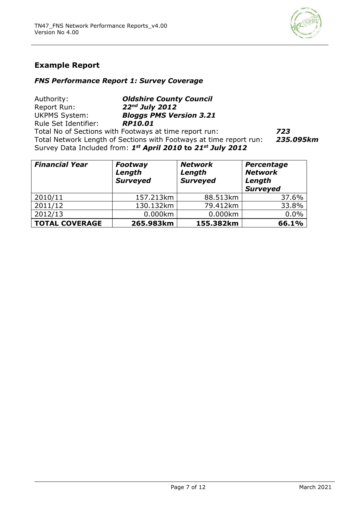

## **Example Report**

#### *FNS Performance Report 1: Survey Coverage*

Authority: *Oldshire County Council* Report Run: *22nd July 2012* UKPMS System: *Bloggs PMS Version 3.21* Rule Set Identifier: *RP10.01* Total No of Sections with Footways at time report run: *723* Total Network Length of Sections with Footways at time report run: *235.095km* Survey Data Included from: *1 st April 2010* **to** *21st July 2012*

| <b>Financial Year</b> | Footway<br>Length<br><b>Surveyed</b> | <b>Network</b><br>Length<br><b>Surveyed</b> | Percentage<br><b>Network</b><br>Length<br><b>Surveyed</b> |
|-----------------------|--------------------------------------|---------------------------------------------|-----------------------------------------------------------|
| 2010/11               | 157.213km                            | 88.513km                                    | 37.6%                                                     |
| 2011/12               | 130.132km                            | 79.412km                                    | 33.8%                                                     |
| 2012/13               | 0.000km                              | 0.000km                                     | 0.0%                                                      |
| <b>TOTAL COVERAGE</b> | 265.983km                            | 155.382km                                   | 66.1%                                                     |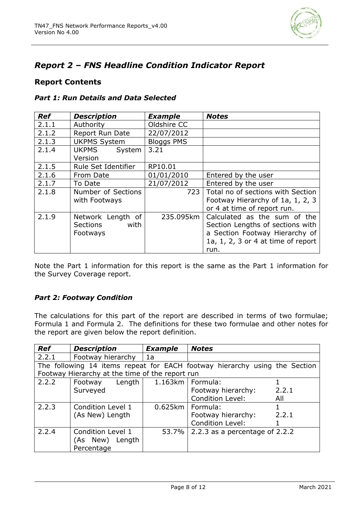

## *Report 2 – FNS Headline Condition Indicator Report*

#### **Report Contents**

|  |  | <b>Part 1: Run Details and Data Selected</b> |
|--|--|----------------------------------------------|
|--|--|----------------------------------------------|

| <b>Ref</b> | <b>Description</b>                                       | <b>Example</b>    | <b>Notes</b>                                                                                                                                     |
|------------|----------------------------------------------------------|-------------------|--------------------------------------------------------------------------------------------------------------------------------------------------|
| 2.1.1      | Authority                                                | Oldshire CC       |                                                                                                                                                  |
| 2.1.2      | Report Run Date                                          | 22/07/2012        |                                                                                                                                                  |
| 2.1.3      | <b>UKPMS System</b>                                      | <b>Bloggs PMS</b> |                                                                                                                                                  |
| 2.1.4      | <b>UKPMS</b><br>System<br>Version                        | 3.21              |                                                                                                                                                  |
| 2.1.5      | Rule Set Identifier                                      | RP10.01           |                                                                                                                                                  |
| 2.1.6      | From Date                                                | 01/01/2010        | Entered by the user                                                                                                                              |
| 2.1.7      | To Date                                                  | 21/07/2012        | Entered by the user                                                                                                                              |
| 2.1.8      | Number of Sections<br>with Footways                      | 723               | Total no of sections with Section<br>Footway Hierarchy of 1a, 1, 2, 3<br>or 4 at time of report run.                                             |
| 2.1.9      | Network Length of<br><b>Sections</b><br>with<br>Footways | 235.095km         | Calculated as the sum of the<br>Section Lengths of sections with<br>a Section Footway Hierarchy of<br>1a, 1, 2, 3 or 4 at time of report<br>run. |

Note the Part 1 information for this report is the same as the Part 1 information for the Survey Coverage report.

#### *Part 2: Footway Condition*

The calculations for this part of the report are described in terms of two formulae; Formula 1 and Formula 2. The definitions for these two formulae and other notes for the report are given below the report definition.

| <b>Ref</b> | <b>Description</b>                                                         | <b>Example</b>     | <b>Notes</b>                   |       |
|------------|----------------------------------------------------------------------------|--------------------|--------------------------------|-------|
| 2.2.1      | Footway hierarchy                                                          | 1a                 |                                |       |
|            | The following 14 items repeat for EACH footway hierarchy using the Section |                    |                                |       |
|            | Footway Hierarchy at the time of the report run                            |                    |                                |       |
| 2.2.2      | $L$ ength<br>Footway                                                       | 1.163km   Formula: |                                |       |
|            | Surveyed                                                                   |                    | Footway hierarchy:             | 2.2.1 |
|            |                                                                            |                    | Condition Level:               | All   |
| 2.2.3      | Condition Level 1                                                          |                    | 0.625km   Formula:             |       |
|            | (As New) Length                                                            |                    | Footway hierarchy:             | 2.2.1 |
|            |                                                                            |                    | <b>Condition Level:</b>        |       |
| 2.2.4      | Condition Level 1                                                          | 53.7%              | 2.2.3 as a percentage of 2.2.2 |       |
|            | (As New) Length                                                            |                    |                                |       |
|            | Percentage                                                                 |                    |                                |       |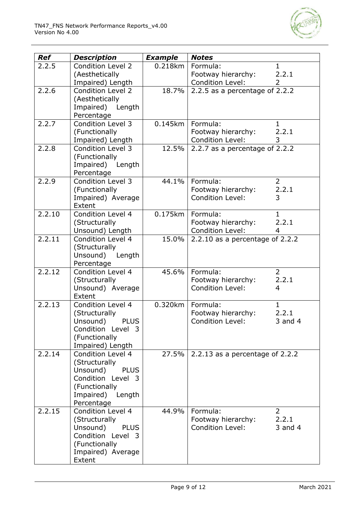

| <b>Ref</b> | <b>Description</b>                           | <b>Example</b> | <b>Notes</b>                                  |                         |
|------------|----------------------------------------------|----------------|-----------------------------------------------|-------------------------|
| 2.2.5      | <b>Condition Level 2</b>                     | 0.218km        | Formula:                                      | $\mathbf{1}$            |
|            | (Aesthetically                               |                | Footway hierarchy:<br><b>Condition Level:</b> | 2.2.1<br>2              |
| 2.2.6      | Impaired) Length<br><b>Condition Level 2</b> | 18.7%          | 2.2.5 as a percentage of 2.2.2                |                         |
|            | (Aesthetically                               |                |                                               |                         |
|            | Impaired) Length                             |                |                                               |                         |
|            | Percentage                                   |                |                                               |                         |
| 2.2.7      | <b>Condition Level 3</b>                     | $0.145$ km     | Formula:<br>Footway hierarchy:                | $\mathbf 1$<br>2.2.1    |
|            | (Functionally<br>Impaired) Length            |                | Condition Level:                              | 3                       |
| 2.2.8      | Condition Level 3                            | 12.5%          | 2.2.7 as a percentage of 2.2.2                |                         |
|            | (Functionally                                |                |                                               |                         |
|            | Impaired) Length                             |                |                                               |                         |
|            | Percentage<br>Condition Level 3              |                |                                               |                         |
| 2.2.9      | (Functionally                                | 44.1%          | Formula:<br>Footway hierarchy:                | $\overline{2}$<br>2.2.1 |
|            | Impaired) Average                            |                | <b>Condition Level:</b>                       | 3                       |
|            | Extent                                       |                |                                               |                         |
| 2.2.10     | Condition Level 4                            | 0.175km        | Formula:                                      | $\mathbf{1}$            |
|            | (Structurally<br>Unsound) Length             |                | Footway hierarchy:<br><b>Condition Level:</b> | 2.2.1<br>4              |
| 2.2.11     | Condition Level 4                            | 15.0%          | 2.2.10 as a percentage of $2.2.2$             |                         |
|            | (Structurally                                |                |                                               |                         |
|            | Unsound) Length                              |                |                                               |                         |
|            | Percentage                                   |                |                                               |                         |
| 2.2.12     | Condition Level 4<br>(Structurally           | 45.6%          | Formula:<br>Footway hierarchy:                | $\overline{2}$<br>2.2.1 |
|            | Unsound) Average                             |                | <b>Condition Level:</b>                       | 4                       |
|            | Extent                                       |                |                                               |                         |
| 2.2.13     | Condition Level 4                            | 0.320km        | Formula:                                      | $\mathbf{1}$            |
|            | (Structurally                                |                | Footway hierarchy:                            | 2.2.1                   |
|            | Unsound)<br><b>PLUS</b><br>Condition Level 3 |                | <b>Condition Level:</b>                       | $3$ and $4$             |
|            | (Functionally                                |                |                                               |                         |
|            | Impaired) Length                             |                |                                               |                         |
| 2.2.14     | Condition Level 4                            | 27.5%          | 2.2.13 as a percentage of $2.2.2$             |                         |
|            | (Structurally<br><b>PLUS</b>                 |                |                                               |                         |
|            | Unsound)<br>Condition Level 3                |                |                                               |                         |
|            | (Functionally                                |                |                                               |                         |
|            | Impaired) Length                             |                |                                               |                         |
|            | Percentage                                   |                |                                               |                         |
| 2.2.15     | Condition Level 4<br>(Structurally           | 44.9%          | Formula:<br>Footway hierarchy:                | $\overline{2}$<br>2.2.1 |
|            | Unsound)<br><b>PLUS</b>                      |                | Condition Level:                              | $3$ and $4$             |
|            | Condition Level 3                            |                |                                               |                         |
|            | (Functionally                                |                |                                               |                         |
|            | Impaired) Average                            |                |                                               |                         |
|            | Extent                                       |                |                                               |                         |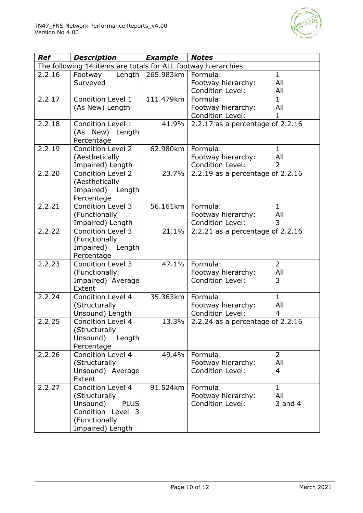

| <b>Ref</b> | Description                                                                                                             | <b>Example</b>      | <b>Notes</b>                                                                                       |  |
|------------|-------------------------------------------------------------------------------------------------------------------------|---------------------|----------------------------------------------------------------------------------------------------|--|
|            | The following 14 items are totals for ALL footway hierarchies                                                           |                     |                                                                                                    |  |
| 2.2.16     | Footway<br>Surveyed                                                                                                     | Length $ 265.983km$ | $\mathbf{1}$<br>Formula:<br>Footway hierarchy:<br>All<br><b>Condition Level:</b><br>All            |  |
| 2.2.17     | Condition Level 1<br>(As New) Length                                                                                    | 111.479km           | $\mathbf{1}$<br>Formula:<br>All<br>Footway hierarchy:<br>Condition Level:<br>1                     |  |
| 2.2.18     | Condition Level 1<br>(As New) Length<br>Percentage                                                                      | 41.9%               | 2.2.17 as a percentage of $2.2.16$                                                                 |  |
| 2.2.19     | Condition Level 2<br>(Aesthetically<br>Impaired) Length                                                                 | 62.980km            | Formula:<br>$\mathbf{1}$<br>All<br>Footway hierarchy:<br><b>Condition Level:</b><br>$\overline{2}$ |  |
| 2.2.20     | <b>Condition Level 2</b><br>(Aesthetically<br>Impaired) Length<br>Percentage                                            | 23.7%               | 2.2.19 as a percentage of 2.2.16                                                                   |  |
| 2.2.21     | Condition Level 3<br>(Functionally<br>Impaired) Length                                                                  | 56.161km            | Formula:<br>$\mathbf{1}$<br>All<br>Footway hierarchy:<br><b>Condition Level:</b><br>3              |  |
| 2.2.22     | Condition Level 3<br>(Functionally<br>Impaired) Length<br>Percentage                                                    | 21.1%               | 2.2.21 as a percentage of 2.2.16                                                                   |  |
| 2.2.23     | <b>Condition Level 3</b><br>(Functionally<br>Impaired) Average<br>Extent                                                | 47.1%               | $\overline{2}$<br>Formula:<br>All<br>Footway hierarchy:<br><b>Condition Level:</b><br>3            |  |
| 2.2.24     | Condition Level 4<br>(Structurally<br>Unsound) Length                                                                   | 35.363km            | $\mathbf{1}$<br>Formula:<br>All<br>Footway hierarchy:<br>Condition Level:<br>4                     |  |
| 2.2.25     | Condition Level 4<br>(Structurally<br>Unsound)<br>Length<br>Percentage                                                  | 13.3%               | 2.2.24 as a percentage of 2.2.16                                                                   |  |
| 2.2.26     | Condition Level 4<br>(Structurally<br>Unsound) Average<br>Extent                                                        | 49.4%               | $\overline{2}$<br>Formula:<br>All<br>Footway hierarchy:<br><b>Condition Level:</b><br>4            |  |
| 2.2.27     | Condition Level 4<br>(Structurally<br>Unsound)<br><b>PLUS</b><br>Condition Level 3<br>(Functionally<br>Impaired) Length | 91.524km            | $\mathbf{1}$<br>Formula:<br>All<br>Footway hierarchy:<br><b>Condition Level:</b><br>$3$ and $4$    |  |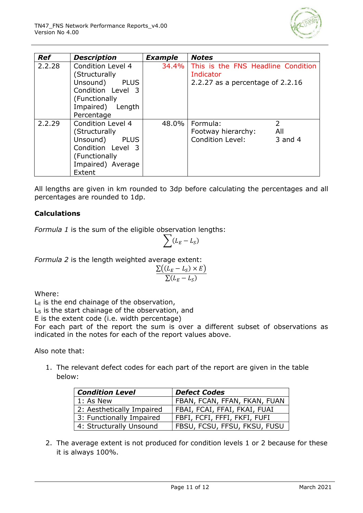

| <b>Ref</b> | <b>Description</b>                                                                                                                    | <b>Example</b> | <b>Notes</b>                                                                          |
|------------|---------------------------------------------------------------------------------------------------------------------------------------|----------------|---------------------------------------------------------------------------------------|
| 2.2.28     | Condition Level 4<br>(Structurally<br>Unsound)<br><b>PLUS</b><br>Condition Level 3<br>(Functionally<br>Impaired) Length<br>Percentage | 34.4%          | This is the FNS Headline Condition<br>Indicator<br>2.2.27 as a percentage of 2.2.16   |
| 2.2.29     | Condition Level 4<br>(Structurally<br>Unsound)<br><b>PLUS</b><br>Condition Level 3<br>(Functionally<br>Impaired) Average<br>Extent    | 48.0%          | $\mathcal{P}$<br>Formula:<br>All<br>Footway hierarchy:<br>Condition Level:<br>3 and 4 |

All lengths are given in km rounded to 3dp before calculating the percentages and all percentages are rounded to 1dp.

#### **Calculations**

*Formula 1* is the sum of the eligible observation lengths:

$$
\sum (L_E - L_S)
$$

*Formula 2* is the length weighted average extent:

$$
\frac{\Sigma((L_E - L_S) \times E)}{\Sigma(L_E - L_S)}
$$

Where:

 $L<sub>E</sub>$  is the end chainage of the observation,

 $L<sub>S</sub>$  is the start chainage of the observation, and

E is the extent code (i.e. width percentage)

For each part of the report the sum is over a different subset of observations as indicated in the notes for each of the report values above.

Also note that:

1. The relevant defect codes for each part of the report are given in the table below:

| <b>Condition Level</b>    | <b>Defect Codes</b>          |  |  |  |  |  |  |
|---------------------------|------------------------------|--|--|--|--|--|--|
| 1: As New                 | FBAN, FCAN, FFAN, FKAN, FUAN |  |  |  |  |  |  |
| 2: Aesthetically Impaired | FBAI, FCAI, FFAI, FKAI, FUAI |  |  |  |  |  |  |
| 3: Functionally Impaired  | FBFI, FCFI, FFFI, FKFI, FUFI |  |  |  |  |  |  |
| 4: Structurally Unsound   | FBSU, FCSU, FFSU, FKSU, FUSU |  |  |  |  |  |  |

2. The average extent is not produced for condition levels 1 or 2 because for these it is always 100%.